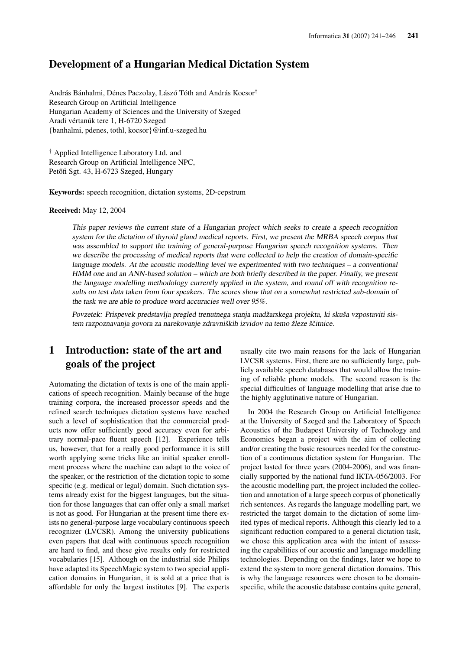#### Development of a Hungarian Medical Dictation System

András Bánhalmi, Dénes Paczolay, Lászó Tóth and András Kocsor† Research Group on Artificial Intelligence Hungarian Academy of Sciences and the University of Szeged Aradi vértanúk tere 1, H-6720 Szeged {banhalmi, pdenes, tothl, kocsor}@inf.u-szeged.hu

† Applied Intelligence Laboratory Ltd. and Research Group on Artificial Intelligence NPC, Petőfi Sgt. 43, H-6723 Szeged, Hungary

Keywords: speech recognition, dictation systems, 2D-cepstrum

Received: May 12, 2004

This paper reviews the current state of <sup>a</sup> Hungarian project which seeks to create <sup>a</sup> speech recognition system for the dictation of thyroid gland medical reports. First, we present the MRBA speech corpus that was assembled to support the training of general-purpose Hungarian speech recognition systems. Then we describe the processing of medical reports that were collected to help the creation of domain-specific language models. At the acoustic modelling level we experimented with two techniques – <sup>a</sup> conventional HMM one and an ANN-based solution – which are both briefly described in the paper. Finally, we present the language modelling methodology currently applied in the system, and round off with recognition results on test data taken from four speakers. The scores show that on <sup>a</sup> somewhat restricted sub-domain of the task we are able to produce word accuracies well over 95%.

Povzetek: Prispevek predstavlja pregled trenutnega stanja madžarskega projekta, ki skuša vzpostaviti sistem razpoznavanja govora za narekovanje zdravniških izvidov na temo žleze ščitnice.

## 1 Introduction: state of the art and goals of the project

Automating the dictation of texts is one of the main applications of speech recognition. Mainly because of the huge training corpora, the increased processor speeds and the refined search techniques dictation systems have reached such a level of sophistication that the commercial products now offer sufficiently good accuracy even for arbitrary normal-pace fluent speech [12]. Experience tells us, however, that for a really good performance it is still worth applying some tricks like an initial speaker enrollment process where the machine can adapt to the voice of the speaker, or the restriction of the dictation topic to some specific (e.g. medical or legal) domain. Such dictation systems already exist for the biggest languages, but the situation for those languages that can offer only a small market is not as good. For Hungarian at the present time there exists no general-purpose large vocabulary continuous speech recognizer (LVCSR). Among the university publications even papers that deal with continuous speech recognition are hard to find, and these give results only for restricted vocabularies [15]. Although on the industrial side Philips have adapted its SpeechMagic system to two special application domains in Hungarian, it is sold at a price that is affordable for only the largest institutes [9]. The experts

usually cite two main reasons for the lack of Hungarian LVCSR systems. First, there are no sufficiently large, publicly available speech databases that would allow the training of reliable phone models. The second reason is the special difficulties of language modelling that arise due to the highly agglutinative nature of Hungarian.

In 2004 the Research Group on Artificial Intelligence at the University of Szeged and the Laboratory of Speech Acoustics of the Budapest University of Technology and Economics began a project with the aim of collecting and/or creating the basic resources needed for the construction of a continuous dictation system for Hungarian. The project lasted for three years (2004-2006), and was financially supported by the national fund IKTA-056/2003. For the acoustic modelling part, the project included the collection and annotation of a large speech corpus of phonetically rich sentences. As regards the language modelling part, we restricted the target domain to the dictation of some limited types of medical reports. Although this clearly led to a significant reduction compared to a general dictation task, we chose this application area with the intent of assessing the capabilities of our acoustic and language modelling technologies. Depending on the findings, later we hope to extend the system to more general dictation domains. This is why the language resources were chosen to be domainspecific, while the acoustic database contains quite general,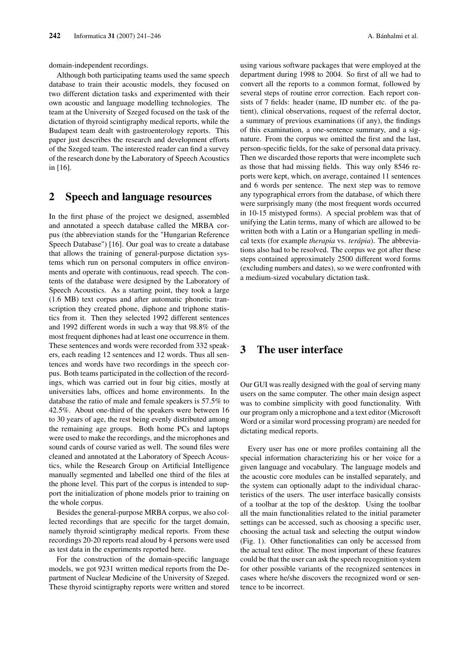domain-independent recordings.

Although both participating teams used the same speech database to train their acoustic models, they focused on two different dictation tasks and experimented with their own acoustic and language modelling technologies. The team at the University of Szeged focused on the task of the dictation of thyroid scintigraphy medical reports, while the Budapest team dealt with gastroenterology reports. This paper just describes the research and development efforts of the Szeged team. The interested reader can find a survey of the research done by the Laboratory of Speech Acoustics in [16].

#### 2 Speech and language resources

In the first phase of the project we designed, assembled and annotated a speech database called the MRBA corpus (the abbreviation stands for the "Hungarian Reference Speech Database") [16]. Our goal was to create a database that allows the training of general-purpose dictation systems which run on personal computers in office environments and operate with continuous, read speech. The contents of the database were designed by the Laboratory of Speech Acoustics. As a starting point, they took a large (1.6 MB) text corpus and after automatic phonetic transcription they created phone, diphone and triphone statistics from it. Then they selected 1992 different sentences and 1992 different words in such a way that 98.8% of the most frequent diphones had at least one occurrence in them. These sentences and words were recorded from 332 speakers, each reading 12 sentences and 12 words. Thus all sentences and words have two recordings in the speech corpus. Both teams participated in the collection of the recordings, which was carried out in four big cities, mostly at universities labs, offices and home environments. In the database the ratio of male and female speakers is 57.5% to 42.5%. About one-third of the speakers were between 16 to 30 years of age, the rest being evenly distributed among the remaining age groups. Both home PCs and laptops were used to make the recordings, and the microphones and sound cards of course varied as well. The sound files were cleaned and annotated at the Laboratory of Speech Acoustics, while the Research Group on Artificial Intelligence manually segmented and labelled one third of the files at the phone level. This part of the corpus is intended to support the initialization of phone models prior to training on the whole corpus.

Besides the general-purpose MRBA corpus, we also collected recordings that are specific for the target domain, namely thyroid scintigraphy medical reports. From these recordings 20-20 reports read aloud by 4 persons were used as test data in the experiments reported here.

For the construction of the domain-specific language models, we got 9231 written medical reports from the Department of Nuclear Medicine of the University of Szeged. These thyroid scintigraphy reports were written and stored using various software packages that were employed at the department during 1998 to 2004. So first of all we had to convert all the reports to a common format, followed by several steps of routine error correction. Each report consists of 7 fields: header (name, ID number etc. of the patient), clinical observations, request of the referral doctor, a summary of previous examinations (if any), the findings of this examination, a one-sentence summary, and a signature. From the corpus we omitted the first and the last, person-specific fields, for the sake of personal data privacy. Then we discarded those reports that were incomplete such as those that had missing fields. This way only 8546 reports were kept, which, on average, contained 11 sentences and 6 words per sentence. The next step was to remove any typographical errors from the database, of which there were surprisingly many (the most frequent words occurred in 10-15 mistyped forms). A special problem was that of unifying the Latin terms, many of which are allowed to be written both with a Latin or a Hungarian spelling in medical texts (for example *therapia* vs. *terápia*). The abbreviations also had to be resolved. The corpus we got after these steps contained approximately 2500 different word forms (excluding numbers and dates), so we were confronted with a medium-sized vocabulary dictation task.

### 3 The user interface

Our GUI was really designed with the goal of serving many users on the same computer. The other main design aspect was to combine simplicity with good functionality. With our program only a microphone and a text editor (Microsoft Word or a similar word processing program) are needed for dictating medical reports.

Every user has one or more profiles containing all the special information characterizing his or her voice for a given language and vocabulary. The language models and the acoustic core modules can be installed separately, and the system can optionally adapt to the individual characteristics of the users. The user interface basically consists of a toolbar at the top of the desktop. Using the toolbar all the main functionalities related to the initial parameter settings can be accessed, such as choosing a specific user, choosing the actual task and selecting the output window (Fig. 1). Other functionalities can only be accessed from the actual text editor. The most important of these features could be that the user can ask the speech recognition system for other possible variants of the recognized sentences in cases where he/she discovers the recognized word or sentence to be incorrect.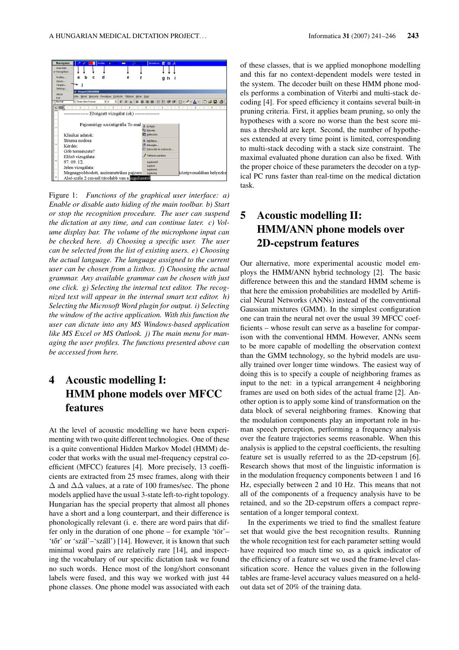

Figure 1: *Functions of the graphical user interface: a) Enable or disable auto hiding of the main toolbar. b) Start or stop the recognition procedure. The user can suspend the dictation at any time, and can continue later. c) Volume display bar. The volume of the microphone input can be checked here. d) Choosing a specific user. The user can be selected from the list of existing users. e) Choosing the actual language. The language assigned to the current user can be chosen from a listbox. f) Choosing the actual grammar. Any available grammar can be chosen with just one click. g) Selecting the internal text editor. The recognized text will appear in the internal smart text editor. h) Selecting the Microsoft Word plugin for output. i) Selecting the window of the active application. With this function the user can dictate into any MS Windows-based application like MS Excel or MS Outlook. j) The main menu for managing the user profiles. The functions presented above can be accessed from here.*

# 4 Acoustic modelling I: HMM phone models over MFCC features

At the level of acoustic modelling we have been experimenting with two quite different technologies. One of these is a quite conventional Hidden Markov Model (HMM) decoder that works with the usual mel-frequency cepstral coefficient (MFCC) features [4]. More precisely, 13 coefficients are extracted from 25 msec frames, along with their ∆ and ∆∆ values, at a rate of 100 frames/sec. The phone models applied have the usual 3-state left-to-right topology. Hungarian has the special property that almost all phones have a short and a long counterpart, and their difference is phonologically relevant (i. e. there are word pairs that differ only in the duration of one phone – for example 'tör'– 'tőr' or 'szál'–'száll') [14]. However, it is known that such minimal word pairs are relatively rare [14], and inspecting the vocabulary of our specific dictation task we found no such words. Hence most of the long/short consonant labels were fused, and this way we worked with just 44 phone classes. One phone model was associated with each

of these classes, that is we applied monophone modelling and this far no context-dependent models were tested in the system. The decoder built on these HMM phone models performs a combination of Viterbi and multi-stack decoding [4]. For speed efficiency it contains several built-in pruning criteria. First, it applies beam pruning, so only the hypotheses with a score no worse than the best score minus a threshold are kept. Second, the number of hypotheses extended at every time point is limited, corresponding to multi-stack decoding with a stack size constraint. The maximal evaluated phone duration can also be fixed. With the proper choice of these parameters the decoder on a typical PC runs faster than real-time on the medical dictation task.

## 5 Acoustic modelling II: HMM/ANN phone models over 2D-cepstrum features

Our alternative, more experimental acoustic model employs the HMM/ANN hybrid technology [2]. The basic difference between this and the standard HMM scheme is that here the emission probabilities are modelled by Artificial Neural Networks (ANNs) instead of the conventional Gaussian mixtures (GMM). In the simplest configuration one can train the neural net over the usual 39 MFCC coefficients – whose result can serve as a baseline for comparison with the conventional HMM. However, ANNs seem to be more capable of modelling the observation context than the GMM technology, so the hybrid models are usually trained over longer time windows. The easiest way of doing this is to specify a couple of neighboring frames as input to the net: in a typical arrangement 4 neighboring frames are used on both sides of the actual frame [2]. Another option is to apply some kind of transformation on the data block of several neighboring frames. Knowing that the modulation components play an important role in human speech perception, performing a frequency analysis over the feature trajectories seems reasonable. When this analysis is applied to the cepstral coefficients, the resulting feature set is usually referred to as the 2D-cepstrum [6]. Research shows that most of the linguistic information is in the modulation frequency components between 1 and 16 Hz, especially between 2 and 10 Hz. This means that not all of the components of a frequency analysis have to be retained, and so the 2D-cepstrum offers a compact representation of a longer temporal context.

In the experiments we tried to find the smallest feature set that would give the best recognition results. Running the whole recognition test for each parameter setting would have required too much time so, as a quick indicator of the efficiency of a feature set we used the frame-level classification score. Hence the values given in the following tables are frame-level accuracy values measured on a heldout data set of 20% of the training data.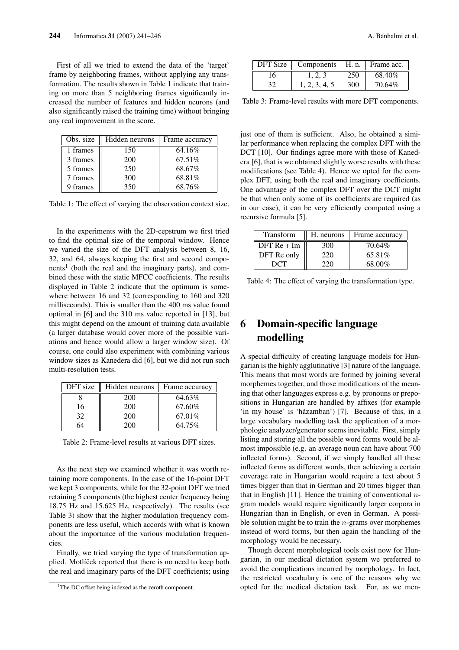First of all we tried to extend the data of the 'target' frame by neighboring frames, without applying any transformation. The results shown in Table 1 indicate that training on more than 5 neighboring frames significantly increased the number of features and hidden neurons (and also significantly raised the training time) without bringing any real improvement in the score.

| Obs. size | Hidden neurons | Frame accuracy |
|-----------|----------------|----------------|
| 1 frames  | 150            | 64.16%         |
| 3 frames  | 200            | 67.51%         |
| 5 frames  | 250            | 68.67%         |
| 7 frames  | 300            | 68.81%         |
| 9 frames  | 350            | 68.76%         |

Table 1: The effect of varying the observation context size.

In the experiments with the 2D-cepstrum we first tried to find the optimal size of the temporal window. Hence we varied the size of the DFT analysis between 8, 16, 32, and 64, always keeping the first and second components<sup>1</sup> (both the real and the imaginary parts), and combined these with the static MFCC coefficients. The results displayed in Table 2 indicate that the optimum is somewhere between 16 and 32 (corresponding to 160 and 320 milliseconds). This is smaller than the 400 ms value found optimal in [6] and the 310 ms value reported in [13], but this might depend on the amount of training data available (a larger database would cover more of the possible variations and hence would allow a larger window size). Of course, one could also experiment with combining various window sizes as Kanedera did [6], but we did not run such multi-resolution tests.

| DFT size | Hidden neurons | Frame accuracy |  |
|----------|----------------|----------------|--|
|          | 200            | 64.63%         |  |
| 16       | 200            | 67.60%         |  |
| 32       | 200            | 67.01%         |  |
|          | 200            | 64.75%         |  |

Table 2: Frame-level results at various DFT sizes.

As the next step we examined whether it was worth retaining more components. In the case of the 16-point DFT we kept 3 components, while for the 32-point DFT we tried retaining 5 components (the highest center frequency being 18.75 Hz and 15.625 Hz, respectively). The results (see Table 3) show that the higher modulation frequency components are less useful, which accords with what is known about the importance of the various modulation frequencies.

Finally, we tried varying the type of transformation applied. Motlíček reported that there is no need to keep both the real and imaginary parts of the DFT coefficients; using

|    | $\overline{\text{DFT}}$ Size $\parallel$ Components $\parallel$ H. n. $\parallel$ Frame acc. |     |        |
|----|----------------------------------------------------------------------------------------------|-----|--------|
| 16 |                                                                                              | 250 | 68.40% |
|    | 1, 2, 3, 4, 5                                                                                | 300 | 70.64% |

Table 3: Frame-level results with more DFT components.

just one of them is sufficient. Also, he obtained a similar performance when replacing the complex DFT with the DCT [10]. Our findings agree more with those of Kanedera [6], that is we obtained slightly worse results with these modifications (see Table 4). Hence we opted for the complex DFT, using both the real and imaginary coefficients. One advantage of the complex DFT over the DCT might be that when only some of its coefficients are required (as in our case), it can be very efficiently computed using a recursive formula [5].

| Transform     | H. neurons | Frame accuracy |
|---------------|------------|----------------|
| $DFT$ Re + Im | 300        | 70.64%         |
| DFT Re only   | 220        | 65.81\%        |
| DCT           | 220        | 68.00%         |

Table 4: The effect of varying the transformation type.

## 6 Domain-specific language modelling

A special difficulty of creating language models for Hungarian is the highly agglutinative [3] nature of the language. This means that most words are formed by joining several morphemes together, and those modifications of the meaning that other languages express e.g. by pronouns or prepositions in Hungarian are handled by affixes (for example 'in my house' is 'házamban') [7]. Because of this, in a large vocabulary modelling task the application of a morphologic analyzer/generator seems inevitable. First, simply listing and storing all the possible word forms would be almost impossible (e.g. an average noun can have about 700 inflected forms). Second, if we simply handled all these inflected forms as different words, then achieving a certain coverage rate in Hungarian would require a text about 5 times bigger than that in German and 20 times bigger than that in English [11]. Hence the training of conventional  $n$ gram models would require significantly larger corpora in Hungarian than in English, or even in German. A possible solution might be to train the  $n$ -grams over morphemes instead of word forms, but then again the handling of the morphology would be necessary.

Though decent morphological tools exist now for Hungarian, in our medical dictation system we preferred to avoid the complications incurred by morphology. In fact, the restricted vocabulary is one of the reasons why we opted for the medical dictation task. For, as we men-

<sup>&</sup>lt;sup>1</sup>The DC offset being indexed as the zeroth component.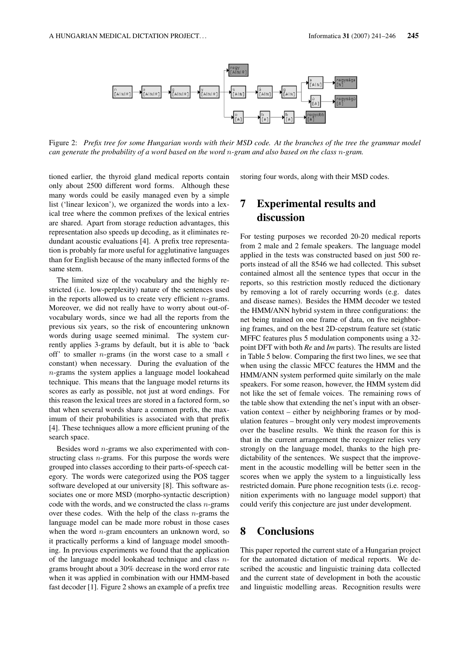

Figure 2: *Prefix tree for some Hungarian words with their MSD code. At the branches of the tree the grammar model can generate the probability of a word based on the word* n*-gram and also based on the class* n*-gram.*

tioned earlier, the thyroid gland medical reports contain only about 2500 different word forms. Although these many words could be easily managed even by a simple list ('linear lexicon'), we organized the words into a lexical tree where the common prefixes of the lexical entries are shared. Apart from storage reduction advantages, this representation also speeds up decoding, as it eliminates redundant acoustic evaluations [4]. A prefix tree representation is probably far more useful for agglutinative languages than for English because of the many inflected forms of the same stem.

The limited size of the vocabulary and the highly restricted (i.e. low-perplexity) nature of the sentences used in the reports allowed us to create very efficient  $n$ -grams. Moreover, we did not really have to worry about out-ofvocabulary words, since we had all the reports from the previous six years, so the risk of encountering unknown words during usage seemed minimal. The system currently applies 3-grams by default, but it is able to 'back off' to smaller *n*-grams (in the worst case to a small  $\epsilon$ constant) when necessary. During the evaluation of the n-grams the system applies a language model lookahead technique. This means that the language model returns its scores as early as possible, not just at word endings. For this reason the lexical trees are stored in a factored form, so that when several words share a common prefix, the maximum of their probabilities is associated with that prefix [4]. These techniques allow a more efficient pruning of the search space.

Besides word  $n$ -grams we also experimented with constructing class  $n$ -grams. For this purpose the words were grouped into classes according to their parts-of-speech category. The words were categorized using the POS tagger software developed at our university [8]. This software associates one or more MSD (morpho-syntactic description) code with the words, and we constructed the class  $n$ -grams over these codes. With the help of the class  $n$ -grams the language model can be made more robust in those cases when the word  $n$ -gram encounters an unknown word, so it practically performs a kind of language model smoothing. In previous experiments we found that the application of the language model lookahead technique and class  $n$ grams brought about a 30% decrease in the word error rate when it was applied in combination with our HMM-based fast decoder [1]. Figure 2 shows an example of a prefix tree

storing four words, along with their MSD codes.

### 7 Experimental results and discussion

For testing purposes we recorded 20-20 medical reports from 2 male and 2 female speakers. The language model applied in the tests was constructed based on just 500 reports instead of all the 8546 we had collected. This subset contained almost all the sentence types that occur in the reports, so this restriction mostly reduced the dictionary by removing a lot of rarely occurring words (e.g. dates and disease names). Besides the HMM decoder we tested the HMM/ANN hybrid system in three configurations: the net being trained on one frame of data, on five neighboring frames, and on the best 2D-cepstrum feature set (static MFFC features plus 5 modulation components using a 32 point DFT with both *Re* and *Im* parts). The results are listed in Table 5 below. Comparing the first two lines, we see that when using the classic MFCC features the HMM and the HMM/ANN system performed quite similarly on the male speakers. For some reason, however, the HMM system did not like the set of female voices. The remaining rows of the table show that extending the net's input with an observation context – either by neighboring frames or by modulation features – brought only very modest improvements over the baseline results. We think the reason for this is that in the current arrangement the recognizer relies very strongly on the language model, thanks to the high predictability of the sentences. We suspect that the improvement in the acoustic modelling will be better seen in the scores when we apply the system to a linguistically less restricted domain. Pure phone recognition tests (i.e. recognition experiments with no language model support) that could verify this conjecture are just under development.

#### 8 Conclusions

This paper reported the current state of a Hungarian project for the automated dictation of medical reports. We described the acoustic and linguistic training data collected and the current state of development in both the acoustic and linguistic modelling areas. Recognition results were